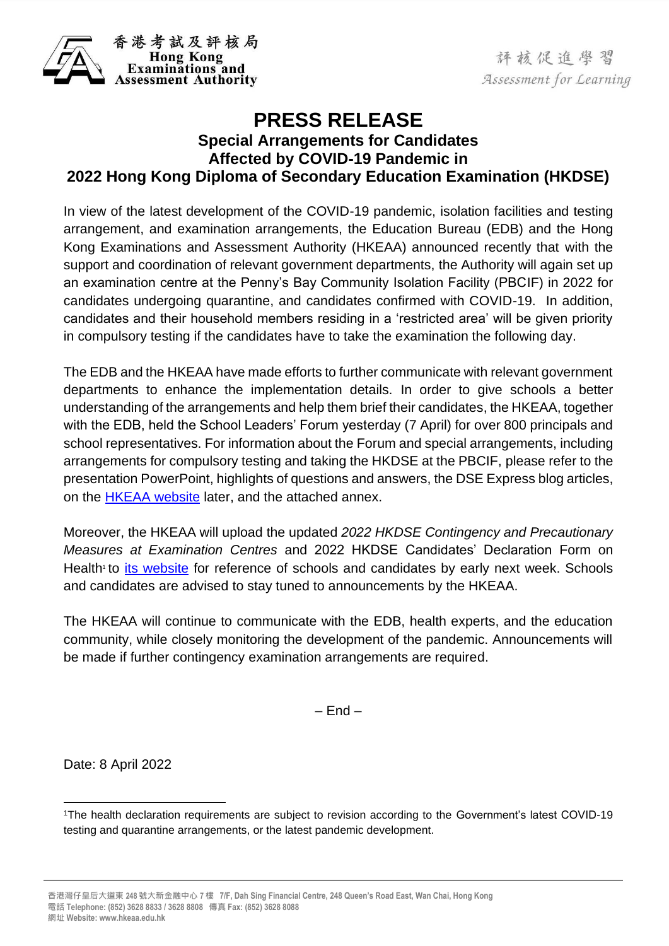

評核促進學習 Assessment for Learning

## **PRESS RELEASE Special Arrangements for Candidates Affected by COVID-19 Pandemic in 2022 Hong Kong Diploma of Secondary Education Examination (HKDSE)**

In view of the latest development of the COVID-19 pandemic, isolation facilities and testing arrangement, and examination arrangements, the Education Bureau (EDB) and the Hong Kong Examinations and Assessment Authority (HKEAA) announced recently that with the support and coordination of relevant government departments, the Authority will again set up an examination centre at the Penny's Bay Community Isolation Facility (PBCIF) in 2022 for candidates undergoing quarantine, and candidates confirmed with COVID-19. In addition, candidates and their household members residing in a 'restricted area' will be given priority in compulsory testing if the candidates have to take the examination the following day.

The EDB and the HKEAA have made efforts to further communicate with relevant government departments to enhance the implementation details. In order to give schools a better understanding of the arrangements and help them brief their candidates, the HKEAA, together with the EDB, held the School Leaders' Forum yesterday (7 April) for over 800 principals and school representatives. For information about the Forum and special arrangements, including arrangements for compulsory testing and taking the HKDSE at the PBCIF, please refer to the presentation PowerPoint, highlights of questions and answers, the DSE Express blog articles, on the [HKEAA website](https://www.hkeaa.edu.hk/en/HKDSE/info_corner/2022HKDSE_Contingency_Precautionary_Measures/index.html) later, and the attached annex.

Moreover, the HKEAA will upload the updated *[2022 HKDSE Contingency and Precautionary](https://www.hkeaa.edu.hk/DocLibrary/MainNews/Instructions_to_Candidates_Precautionary_Measures_at_Exam_Centre_Eng.pdf)  [Measures at Examination Centres](https://www.hkeaa.edu.hk/DocLibrary/MainNews/Instructions_to_Candidates_Precautionary_Measures_at_Exam_Centre_Eng.pdf)* and [2022 HKDSE Candidates' Declaration Form on](https://www.hkeaa.edu.hk/DocLibrary/MainNews/2022_HKDSE_Candidates_Declaration_on_Health.pdf)  [Health](https://www.hkeaa.edu.hk/DocLibrary/MainNews/2022_HKDSE_Candidates_Declaration_on_Health.pdf) to *[its website](https://www.hkeaa.edu.hk/en/HKDSE/info_corner/2022HKDSE_Contingency_Precautionary_Measures/index.html)* for reference of schools and candidates by early next week. Schools and candidates are advised to stay tuned to announcements by the HKEAA.

The HKEAA will continue to communicate with the EDB, health experts, and the education community, while closely monitoring the development of the pandemic. Announcements will be made if further contingency examination arrangements are required.

– End –

Date: 8 April 2022

<sup>1</sup>The health declaration requirements are subject to revision according to the Government's latest COVID-19 testing and quarantine arrangements, or the latest pandemic development.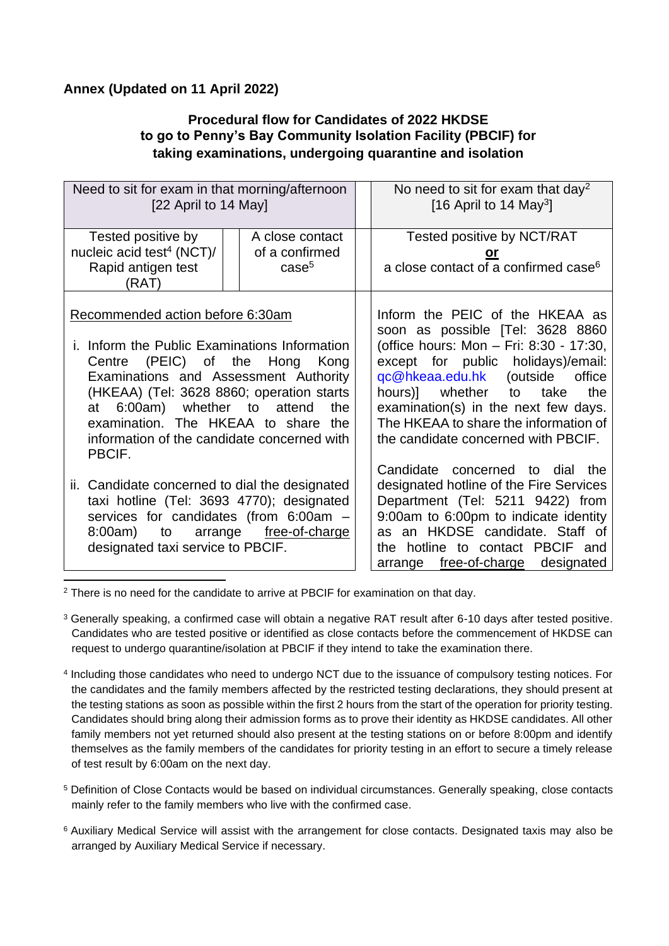## **Annex (Updated on 11 April 2022)**

## **Procedural flow for Candidates of 2022 HKDSE to go to Penny's Bay Community Isolation Facility (PBCIF) for taking examinations, undergoing quarantine and isolation**

| Need to sit for exam in that morning/afternoon<br>[22 April to 14 May]                                                                                                                                                                                                                                                                              |                                                        | No need to sit for exam that day <sup>2</sup><br>[16 April to 14 May <sup>3</sup> ]                                                                                                                                                                                                                                                               |
|-----------------------------------------------------------------------------------------------------------------------------------------------------------------------------------------------------------------------------------------------------------------------------------------------------------------------------------------------------|--------------------------------------------------------|---------------------------------------------------------------------------------------------------------------------------------------------------------------------------------------------------------------------------------------------------------------------------------------------------------------------------------------------------|
| Tested positive by<br>nucleic acid test <sup>4</sup> (NCT)/<br>Rapid antigen test<br>(RAT)                                                                                                                                                                                                                                                          | A close contact<br>of a confirmed<br>case <sup>5</sup> | Tested positive by NCT/RAT<br>or<br>a close contact of a confirmed case <sup>6</sup>                                                                                                                                                                                                                                                              |
| Recommended action before 6:30am<br>i. Inform the Public Examinations Information<br>Centre (PEIC) of the Hong Kong<br>Examinations and Assessment Authority<br>(HKEAA) (Tel: 3628 8860; operation starts<br>at 6:00am) whether to attend<br>the<br>examination. The HKEAA to share<br>the<br>information of the candidate concerned with<br>PBCIF. |                                                        | Inform the PEIC of the HKEAA as<br>soon as possible [Tel: 3628 8860<br>(office hours: Mon - Fri: 8:30 - 17:30,<br>except for public holidays)/email:<br>gc@hkeaa.edu.hk (outside office<br>hours)] whether to take<br>the<br>examination(s) in the next few days.<br>The HKEAA to share the information of<br>the candidate concerned with PBCIF. |
| ii. Candidate concerned to dial the designated<br>taxi hotline (Tel: 3693 4770); designated<br>services for candidates (from 6:00am -<br>8:00am) to arrange free-of-charge<br>designated taxi service to PBCIF.                                                                                                                                     |                                                        | Candidate concerned to dial the<br>designated hotline of the Fire Services<br>Department (Tel: 5211 9422) from<br>9:00am to 6:00pm to indicate identity<br>as an HKDSE candidate. Staff of<br>the hotline to contact PBCIF and<br>arrange free-of-charge designated                                                                               |

<sup>2</sup> There is no need for the candidate to arrive at PBCIF for examination on that day.

- <sup>3</sup> Generally speaking, a confirmed case will obtain a negative RAT result after 6-10 days after tested positive. Candidates who are tested positive or identified as close contacts before the commencement of HKDSE can request to undergo quarantine/isolation at PBCIF if they intend to take the examination there.
- 4 Including those candidates who need to undergo NCT due to the issuance of compulsory testing notices. For the candidates and the family members affected by the restricted testing declarations, they should present at the testing stations as soon as possible within the first 2 hours from the start of the operation for priority testing. Candidates should bring along their admission forms as to prove their identity as HKDSE candidates. All other family members not yet returned should also present at the testing stations on or before 8:00pm and identify themselves as the family members of the candidates for priority testing in an effort to secure a timely release of test result by 6:00am on the next day.
- <sup>5</sup> Definition of Close Contacts would be based on individual circumstances. Generally speaking, close contacts mainly refer to the family members who live with the confirmed case.
- <sup>6</sup> Auxiliary Medical Service will assist with the arrangement for close contacts. Designated taxis may also be arranged by Auxiliary Medical Service if necessary.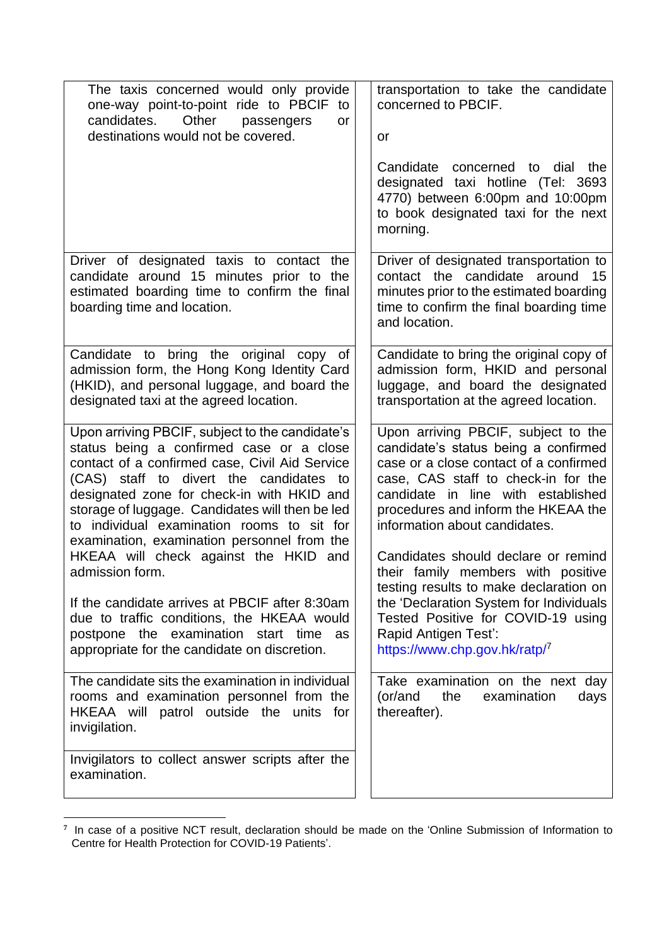| The taxis concerned would only provide<br>one-way point-to-point ride to PBCIF<br>to<br>Other<br>candidates.<br>passengers<br>or<br>destinations would not be covered.                                                                                                                                                                                                                                                             | transportation to take the candidate<br>concerned to PBCIF.<br>or<br>Candidate concerned to dial the<br>designated taxi hotline (Tel: 3693<br>4770) between 6:00pm and 10:00pm<br>to book designated taxi for the next<br>morning.                                                                                |
|------------------------------------------------------------------------------------------------------------------------------------------------------------------------------------------------------------------------------------------------------------------------------------------------------------------------------------------------------------------------------------------------------------------------------------|-------------------------------------------------------------------------------------------------------------------------------------------------------------------------------------------------------------------------------------------------------------------------------------------------------------------|
| Driver of designated taxis to contact the<br>candidate around 15 minutes prior to<br>the<br>estimated boarding time to confirm the final<br>boarding time and location.                                                                                                                                                                                                                                                            | Driver of designated transportation to<br>contact the candidate around<br>15<br>minutes prior to the estimated boarding<br>time to confirm the final boarding time<br>and location.                                                                                                                               |
| Candidate to bring the original copy of<br>admission form, the Hong Kong Identity Card<br>(HKID), and personal luggage, and board the<br>designated taxi at the agreed location.                                                                                                                                                                                                                                                   | Candidate to bring the original copy of<br>admission form, HKID and personal<br>luggage, and board the designated<br>transportation at the agreed location.                                                                                                                                                       |
| Upon arriving PBCIF, subject to the candidate's<br>status being a confirmed case or a close<br>contact of a confirmed case, Civil Aid Service<br>(CAS) staff to divert the candidates<br>to<br>designated zone for check-in with HKID and<br>storage of luggage. Candidates will then be led<br>to individual examination rooms to sit for<br>examination, examination personnel from the<br>HKEAA will check against the HKID and | Upon arriving PBCIF, subject to the<br>candidate's status being a confirmed<br>case or a close contact of a confirmed<br>case, CAS staff to check-in for the<br>candidate in line with established<br>procedures and inform the HKEAA the<br>information about candidates.<br>Candidates should declare or remind |
| admission form.<br>If the candidate arrives at PBCIF after 8:30am<br>due to traffic conditions, the HKEAA would<br>postpone the examination start time as<br>appropriate for the candidate on discretion.                                                                                                                                                                                                                          | their family members with positive<br>testing results to make declaration on<br>the 'Declaration System for Individuals<br>Tested Positive for COVID-19 using<br>Rapid Antigen Test':<br>https://www.chp.gov.hk/ratp/7                                                                                            |
| The candidate sits the examination in individual<br>rooms and examination personnel from the<br>HKEAA will patrol outside the units<br>for<br>invigilation.                                                                                                                                                                                                                                                                        | Take examination on the next day<br>(or/and<br>the<br>examination<br>days<br>thereafter).                                                                                                                                                                                                                         |
| Invigilators to collect answer scripts after the<br>examination.                                                                                                                                                                                                                                                                                                                                                                   |                                                                                                                                                                                                                                                                                                                   |

**<sup>7</sup>** In case of a positive NCT result, declaration should be made on the 'Online Submission of Information to Centre for Health Protection for COVID-19 Patients'.